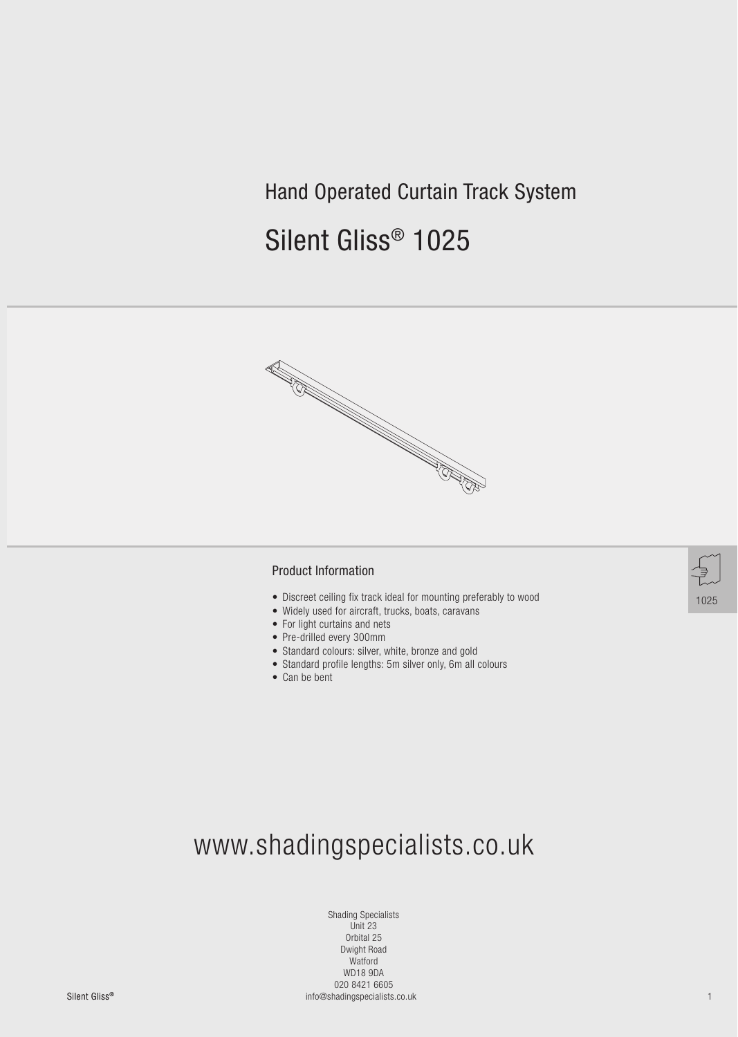## Hand Operated Curtain Track System

# Silent Gliss® 1025



#### Product Information

- Discreet ceiling fix track ideal for mounting preferably to wood
- Widely used for aircraft, trucks, boats, caravans
- For light curtains and nets
- Pre-drilled every 300mm
- Standard colours: silver, white, bronze and gold
- Standard profile lengths: 5m silver only, 6m all colours
- Can be bent

# www.shadingspecialists.co.uk

Shading Specialists Unit 23 Orbital 25 Dwight Road Watford WD18 9DA 020 8421 6605

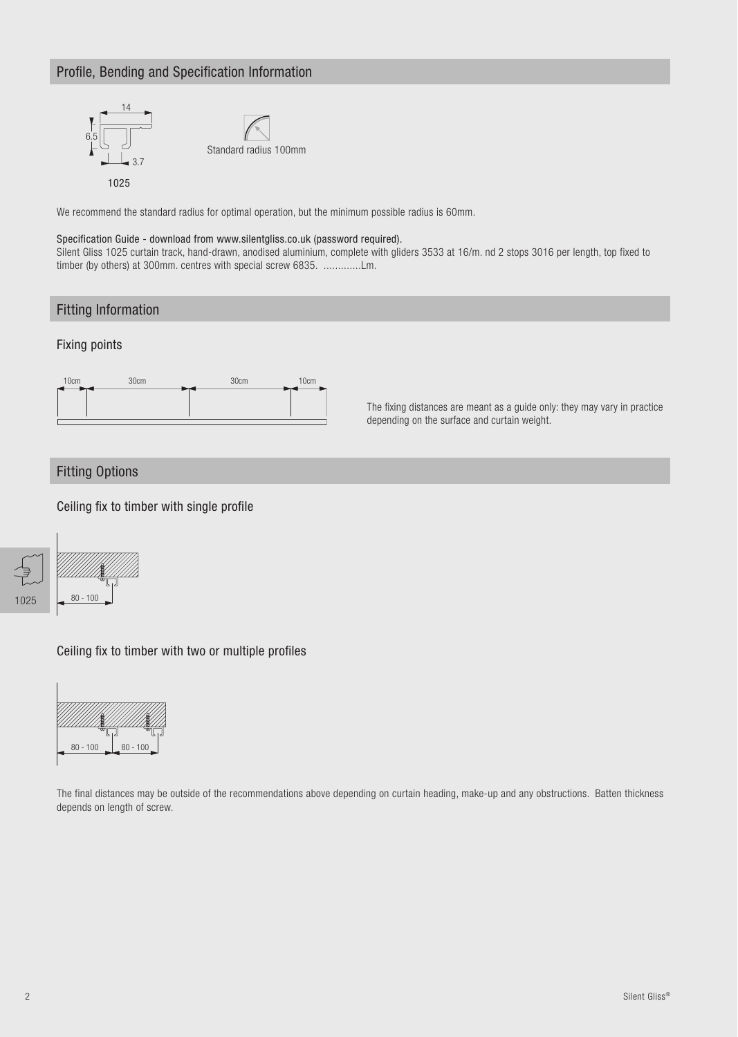### Profile, Bending and Specification Information



We recommend the standard radius for optimal operation, but the minimum possible radius is 60mm.

#### Specification Guide - download from www.silentgliss.co.uk (password required).

Silent Gliss 1025 curtain track, hand-drawn, anodised aluminium, complete with gliders 3533 at 16/m. nd 2 stops 3016 per length, top fixed to timber (by others) at 300mm. centres with special screw 6835. .............Lm.

### Fitting Information

#### Fixing points



The fixing distances are meant as a guide only: they may vary in practice depending on the surface and curtain weight.

#### Fitting Options

Ceiling fix to timber with single profile



Ceiling fix to timber with two or multiple profiles



The final distances may be outside of the recommendations above depending on curtain heading, make-up and any obstructions. Batten thickness depends on length of screw.